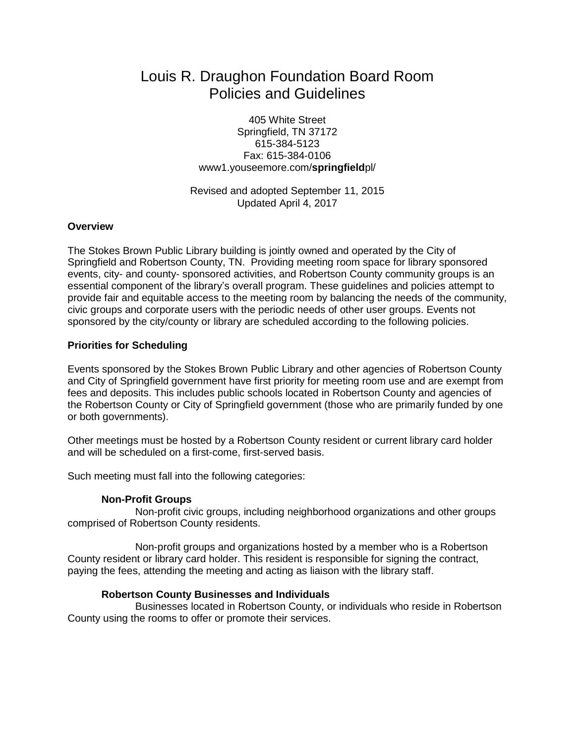# Louis R. Draughon Foundation Board Room Policies and Guidelines

405 White Street Springfield, TN 37172 615-384-5123 Fax: 615-384-0106 www1.youseemore.com/**springfield**pl/

Revised and adopted September 11, 2015 Updated April 4, 2017

### **Overview**

The Stokes Brown Public Library building is jointly owned and operated by the City of Springfield and Robertson County, TN. Providing meeting room space for library sponsored events, city- and county- sponsored activities, and Robertson County community groups is an essential component of the library's overall program. These guidelines and policies attempt to provide fair and equitable access to the meeting room by balancing the needs of the community, civic groups and corporate users with the periodic needs of other user groups. Events not sponsored by the city/county or library are scheduled according to the following policies.

### **Priorities for Scheduling**

Events sponsored by the Stokes Brown Public Library and other agencies of Robertson County and City of Springfield government have first priority for meeting room use and are exempt from fees and deposits. This includes public schools located in Robertson County and agencies of the Robertson County or City of Springfield government (those who are primarily funded by one or both governments).

Other meetings must be hosted by a Robertson County resident or current library card holder and will be scheduled on a first-come, first-served basis.

Such meeting must fall into the following categories:

### **Non-Profit Groups**

Non-profit civic groups, including neighborhood organizations and other groups comprised of Robertson County residents.

Non-profit groups and organizations hosted by a member who is a Robertson County resident or library card holder. This resident is responsible for signing the contract, paying the fees, attending the meeting and acting as liaison with the library staff.

### **Robertson County Businesses and Individuals**

Businesses located in Robertson County, or individuals who reside in Robertson County using the rooms to offer or promote their services.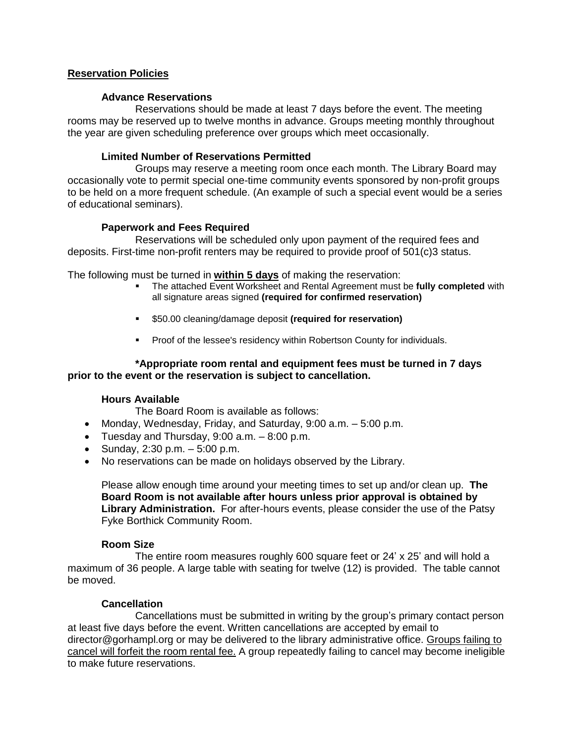# **Reservation Policies**

### **Advance Reservations**

Reservations should be made at least 7 days before the event. The meeting rooms may be reserved up to twelve months in advance. Groups meeting monthly throughout the year are given scheduling preference over groups which meet occasionally.

### **Limited Number of Reservations Permitted**

Groups may reserve a meeting room once each month. The Library Board may occasionally vote to permit special one-time community events sponsored by non-profit groups to be held on a more frequent schedule. (An example of such a special event would be a series of educational seminars).

# **Paperwork and Fees Required**

Reservations will be scheduled only upon payment of the required fees and deposits. First-time non-profit renters may be required to provide proof of 501(c)3 status.

The following must be turned in **within 5 days** of making the reservation:

- The attached Event Worksheet and Rental Agreement must be **fully completed** with all signature areas signed **(required for confirmed reservation)**
- \$50.00 cleaning/damage deposit **(required for reservation)**
- **Proof of the lessee's residency within Robertson County for individuals.**

### **\*Appropriate room rental and equipment fees must be turned in 7 days prior to the event or the reservation is subject to cancellation.**

# **Hours Available**

The Board Room is available as follows:

- Monday, Wednesday, Friday, and Saturday, 9:00 a.m. 5:00 p.m.
- Tuesday and Thursday,  $9:00$  a.m.  $-8:00$  p.m.
- Sunday,  $2:30 \text{ p.m.} 5:00 \text{ p.m.}$
- No reservations can be made on holidays observed by the Library.

Please allow enough time around your meeting times to set up and/or clean up. **The Board Room is not available after hours unless prior approval is obtained by Library Administration.** For after-hours events, please consider the use of the Patsy Fyke Borthick Community Room.

# **Room Size**

The entire room measures roughly 600 square feet or 24' x 25' and will hold a maximum of 36 people. A large table with seating for twelve (12) is provided. The table cannot be moved.

# **Cancellation**

Cancellations must be submitted in writing by the group's primary contact person at least five days before the event. Written cancellations are accepted by email to director@gorhampl.org or may be delivered to the library administrative office. Groups failing to cancel will forfeit the room rental fee. A group repeatedly failing to cancel may become ineligible to make future reservations.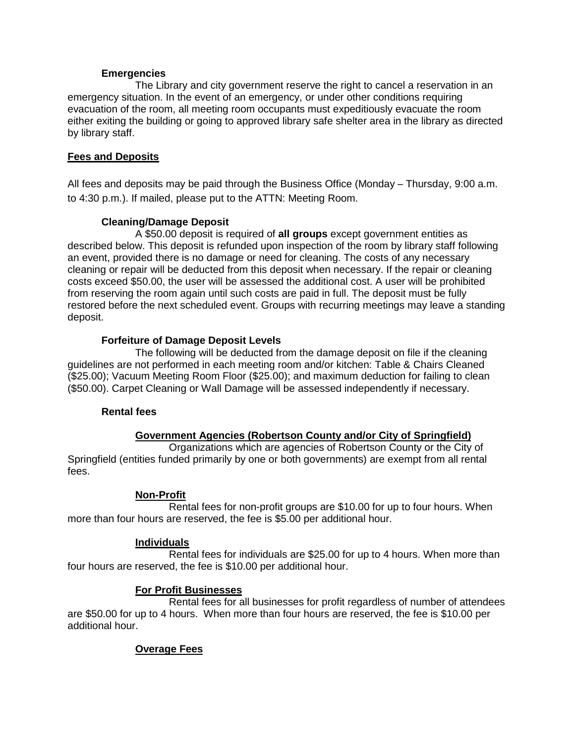### **Emergencies**

The Library and city government reserve the right to cancel a reservation in an emergency situation. In the event of an emergency, or under other conditions requiring evacuation of the room, all meeting room occupants must expeditiously evacuate the room either exiting the building or going to approved library safe shelter area in the library as directed by library staff.

# **Fees and Deposits**

All fees and deposits may be paid through the Business Office (Monday – Thursday, 9:00 a.m. to 4:30 p.m.). If mailed, please put to the ATTN: Meeting Room.

# **Cleaning/Damage Deposit**

A \$50.00 deposit is required of **all groups** except government entities as described below. This deposit is refunded upon inspection of the room by library staff following an event, provided there is no damage or need for cleaning. The costs of any necessary cleaning or repair will be deducted from this deposit when necessary. If the repair or cleaning costs exceed \$50.00, the user will be assessed the additional cost. A user will be prohibited from reserving the room again until such costs are paid in full. The deposit must be fully restored before the next scheduled event. Groups with recurring meetings may leave a standing deposit.

# **Forfeiture of Damage Deposit Levels**

The following will be deducted from the damage deposit on file if the cleaning guidelines are not performed in each meeting room and/or kitchen: Table & Chairs Cleaned (\$25.00); Vacuum Meeting Room Floor (\$25.00); and maximum deduction for failing to clean (\$50.00). Carpet Cleaning or Wall Damage will be assessed independently if necessary.

# **Rental fees**

# **Government Agencies (Robertson County and/or City of Springfield)**

Organizations which are agencies of Robertson County or the City of Springfield (entities funded primarily by one or both governments) are exempt from all rental fees.

# **Non-Profit**

Rental fees for non-profit groups are \$10.00 for up to four hours. When more than four hours are reserved, the fee is \$5.00 per additional hour.

# **Individuals**

Rental fees for individuals are \$25.00 for up to 4 hours. When more than four hours are reserved, the fee is \$10.00 per additional hour.

# **For Profit Businesses**

Rental fees for all businesses for profit regardless of number of attendees are \$50.00 for up to 4 hours. When more than four hours are reserved, the fee is \$10.00 per additional hour.

# **Overage Fees**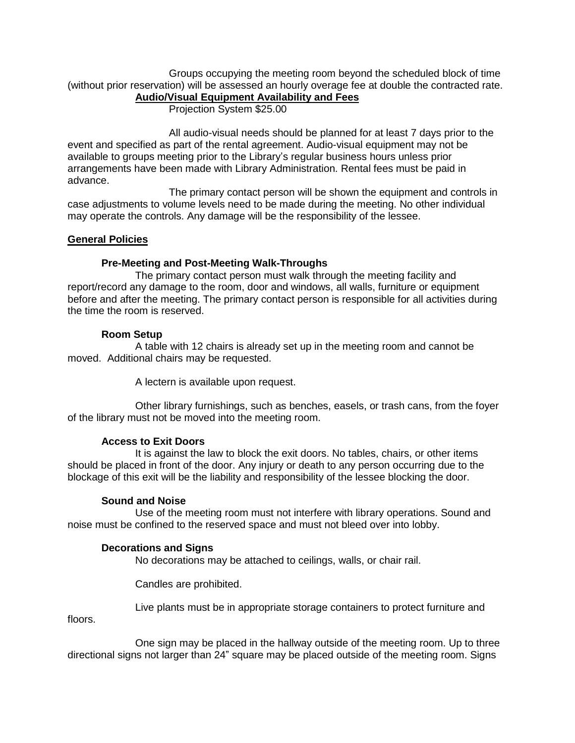Groups occupying the meeting room beyond the scheduled block of time (without prior reservation) will be assessed an hourly overage fee at double the contracted rate.

# **Audio/Visual Equipment Availability and Fees**

Projection System \$25.00

All audio-visual needs should be planned for at least 7 days prior to the event and specified as part of the rental agreement. Audio-visual equipment may not be available to groups meeting prior to the Library's regular business hours unless prior arrangements have been made with Library Administration. Rental fees must be paid in advance.

The primary contact person will be shown the equipment and controls in case adjustments to volume levels need to be made during the meeting. No other individual may operate the controls. Any damage will be the responsibility of the lessee.

### **General Policies**

### **Pre-Meeting and Post-Meeting Walk-Throughs**

The primary contact person must walk through the meeting facility and report/record any damage to the room, door and windows, all walls, furniture or equipment before and after the meeting. The primary contact person is responsible for all activities during the time the room is reserved.

### **Room Setup**

A table with 12 chairs is already set up in the meeting room and cannot be moved. Additional chairs may be requested.

A lectern is available upon request.

Other library furnishings, such as benches, easels, or trash cans, from the foyer of the library must not be moved into the meeting room.

# **Access to Exit Doors**

It is against the law to block the exit doors. No tables, chairs, or other items should be placed in front of the door. Any injury or death to any person occurring due to the blockage of this exit will be the liability and responsibility of the lessee blocking the door.

### **Sound and Noise**

Use of the meeting room must not interfere with library operations. Sound and noise must be confined to the reserved space and must not bleed over into lobby.

# **Decorations and Signs**

No decorations may be attached to ceilings, walls, or chair rail.

Candles are prohibited.

Live plants must be in appropriate storage containers to protect furniture and

floors.

One sign may be placed in the hallway outside of the meeting room. Up to three directional signs not larger than 24" square may be placed outside of the meeting room. Signs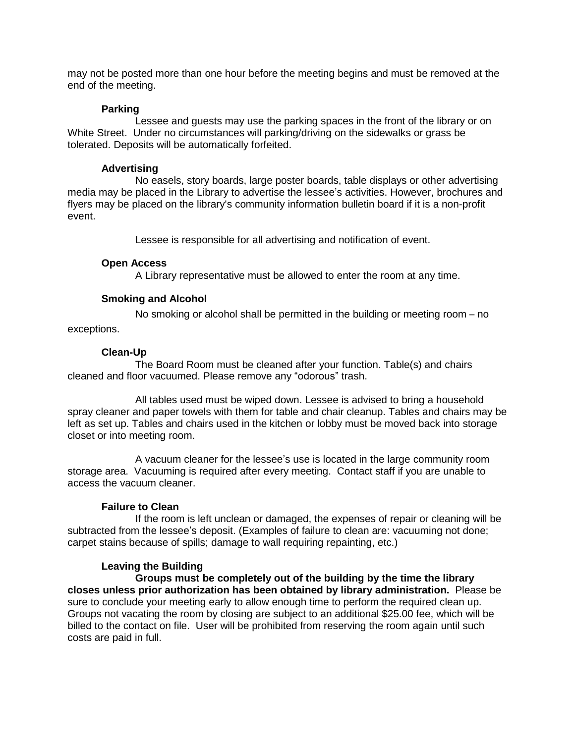may not be posted more than one hour before the meeting begins and must be removed at the end of the meeting.

### **Parking**

Lessee and guests may use the parking spaces in the front of the library or on White Street. Under no circumstances will parking/driving on the sidewalks or grass be tolerated. Deposits will be automatically forfeited.

### **Advertising**

No easels, story boards, large poster boards, table displays or other advertising media may be placed in the Library to advertise the lessee's activities. However, brochures and flyers may be placed on the library's community information bulletin board if it is a non-profit event.

Lessee is responsible for all advertising and notification of event.

### **Open Access**

A Library representative must be allowed to enter the room at any time.

### **Smoking and Alcohol**

No smoking or alcohol shall be permitted in the building or meeting room – no

exceptions.

### **Clean-Up**

The Board Room must be cleaned after your function. Table(s) and chairs cleaned and floor vacuumed. Please remove any "odorous" trash.

All tables used must be wiped down. Lessee is advised to bring a household spray cleaner and paper towels with them for table and chair cleanup. Tables and chairs may be left as set up. Tables and chairs used in the kitchen or lobby must be moved back into storage closet or into meeting room.

A vacuum cleaner for the lessee's use is located in the large community room storage area. Vacuuming is required after every meeting. Contact staff if you are unable to access the vacuum cleaner.

### **Failure to Clean**

If the room is left unclean or damaged, the expenses of repair or cleaning will be subtracted from the lessee's deposit. (Examples of failure to clean are: vacuuming not done; carpet stains because of spills; damage to wall requiring repainting, etc.)

# **Leaving the Building**

**Groups must be completely out of the building by the time the library closes unless prior authorization has been obtained by library administration.** Please be sure to conclude your meeting early to allow enough time to perform the required clean up. Groups not vacating the room by closing are subject to an additional \$25.00 fee, which will be billed to the contact on file. User will be prohibited from reserving the room again until such costs are paid in full.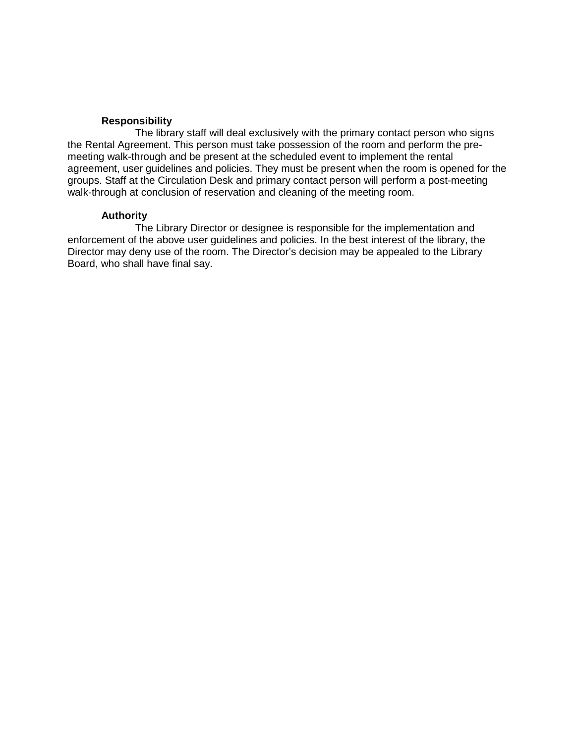#### **Responsibility**

The library staff will deal exclusively with the primary contact person who signs the Rental Agreement. This person must take possession of the room and perform the premeeting walk-through and be present at the scheduled event to implement the rental agreement, user guidelines and policies. They must be present when the room is opened for the groups. Staff at the Circulation Desk and primary contact person will perform a post-meeting walk-through at conclusion of reservation and cleaning of the meeting room.

#### **Authority**

The Library Director or designee is responsible for the implementation and enforcement of the above user guidelines and policies. In the best interest of the library, the Director may deny use of the room. The Director's decision may be appealed to the Library Board, who shall have final say.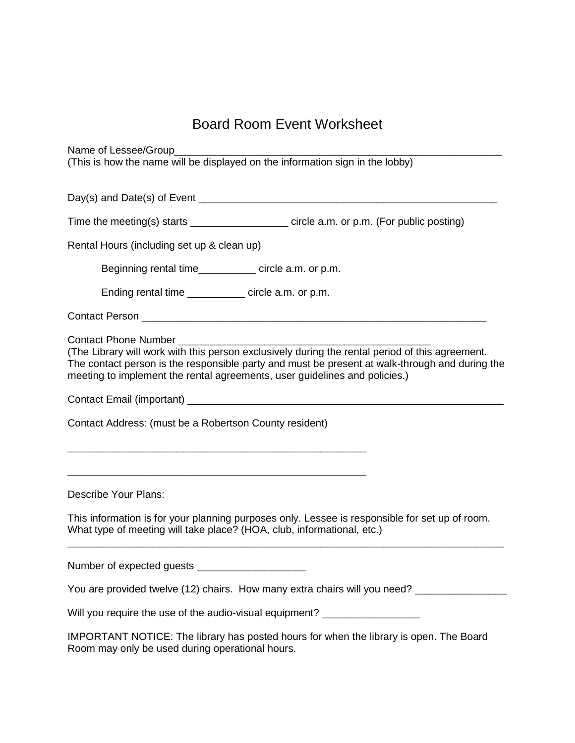# Board Room Event Worksheet

Name of Lessee/Group

(This is how the name will be displayed on the information sign in the lobby)

 $Day(s)$  and  $Date(s)$  of Event  $\blacksquare$ 

Time the meeting(s) starts \_\_\_\_\_\_\_\_\_\_\_\_\_\_\_\_\_\_\_\_\_ circle a.m. or p.m. (For public posting)

Rental Hours (including set up & clean up)

Beginning rental time example in the circle a.m. or p.m.

Ending rental time \_\_\_\_\_\_\_\_\_\_ circle a.m. or p.m.

Contact Person \_\_\_\_\_\_\_\_\_\_\_\_\_\_\_\_\_\_\_\_\_\_\_\_\_\_\_\_\_\_\_\_\_\_\_\_\_\_\_\_\_\_\_\_\_\_\_\_\_\_\_\_\_\_\_\_\_\_\_\_

Contact Phone Number

(The Library will work with this person exclusively during the rental period of this agreement. The contact person is the responsible party and must be present at walk-through and during the meeting to implement the rental agreements, user guidelines and policies.)

Contact Email (important) \_\_\_\_\_\_\_\_\_\_\_\_\_\_\_\_\_\_\_\_\_\_\_\_\_\_\_\_\_\_\_\_\_\_\_\_\_\_\_\_\_\_\_\_\_\_\_\_\_\_\_\_\_\_\_

Contact Address: (must be a Robertson County resident)

\_\_\_\_\_\_\_\_\_\_\_\_\_\_\_\_\_\_\_\_\_\_\_\_\_\_\_\_\_\_\_\_\_\_\_\_\_\_\_\_\_\_\_\_\_\_\_\_\_\_\_\_

\_\_\_\_\_\_\_\_\_\_\_\_\_\_\_\_\_\_\_\_\_\_\_\_\_\_\_\_\_\_\_\_\_\_\_\_\_\_\_\_\_\_\_\_\_\_\_\_\_\_\_\_

Describe Your Plans:

This information is for your planning purposes only. Lessee is responsible for set up of room. What type of meeting will take place? (HOA, club, informational, etc.)

\_\_\_\_\_\_\_\_\_\_\_\_\_\_\_\_\_\_\_\_\_\_\_\_\_\_\_\_\_\_\_\_\_\_\_\_\_\_\_\_\_\_\_\_\_\_\_\_\_\_\_\_\_\_\_\_\_\_\_\_\_\_\_\_\_\_\_\_\_\_\_\_\_\_\_\_

Number of expected guests \_\_\_\_\_\_\_\_\_\_\_\_\_\_\_\_\_\_\_

You are provided twelve (12) chairs. How many extra chairs will you need? \_\_\_\_\_\_\_\_\_\_

Will you require the use of the audio-visual equipment?

IMPORTANT NOTICE: The library has posted hours for when the library is open. The Board Room may only be used during operational hours.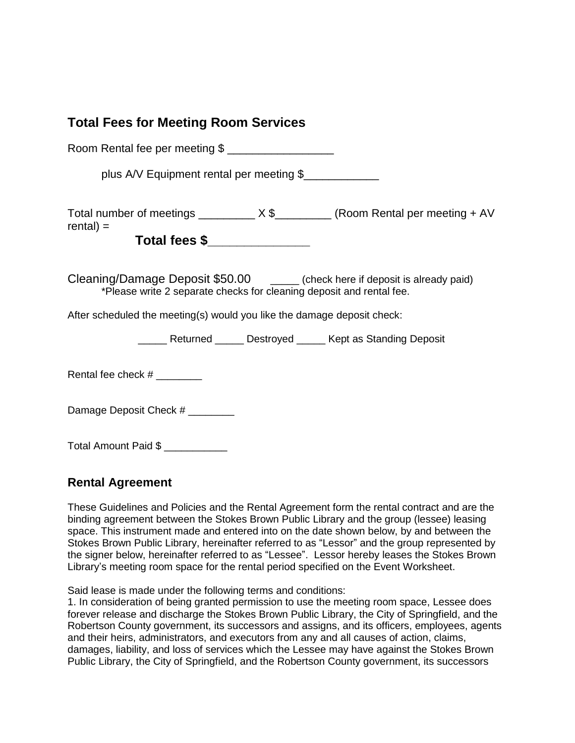# **Total Fees for Meeting Room Services**

| Room Rental fee per meeting \$                                                                                                                         |
|--------------------------------------------------------------------------------------------------------------------------------------------------------|
| plus A/V Equipment rental per meeting \$                                                                                                               |
| Total number of meetings __________ X \$__________ (Room Rental per meeting + AV<br>$rental) =$<br>Total fees \$________________                       |
| Cleaning/Damage Deposit \$50.00 ______ (check here if deposit is already paid)<br>*Please write 2 separate checks for cleaning deposit and rental fee. |
| After scheduled the meeting(s) would you like the damage deposit check:                                                                                |
| ______ Returned ______ Destroyed ______ Kept as Standing Deposit                                                                                       |
| Rental fee check $#$ _________                                                                                                                         |
| Damage Deposit Check #                                                                                                                                 |
| Total Amount Paid \$                                                                                                                                   |

# **Rental Agreement**

These Guidelines and Policies and the Rental Agreement form the rental contract and are the binding agreement between the Stokes Brown Public Library and the group (lessee) leasing space. This instrument made and entered into on the date shown below, by and between the Stokes Brown Public Library, hereinafter referred to as "Lessor" and the group represented by the signer below, hereinafter referred to as "Lessee". Lessor hereby leases the Stokes Brown Library's meeting room space for the rental period specified on the Event Worksheet.

Said lease is made under the following terms and conditions:

1. In consideration of being granted permission to use the meeting room space, Lessee does forever release and discharge the Stokes Brown Public Library, the City of Springfield, and the Robertson County government, its successors and assigns, and its officers, employees, agents and their heirs, administrators, and executors from any and all causes of action, claims, damages, liability, and loss of services which the Lessee may have against the Stokes Brown Public Library, the City of Springfield, and the Robertson County government, its successors